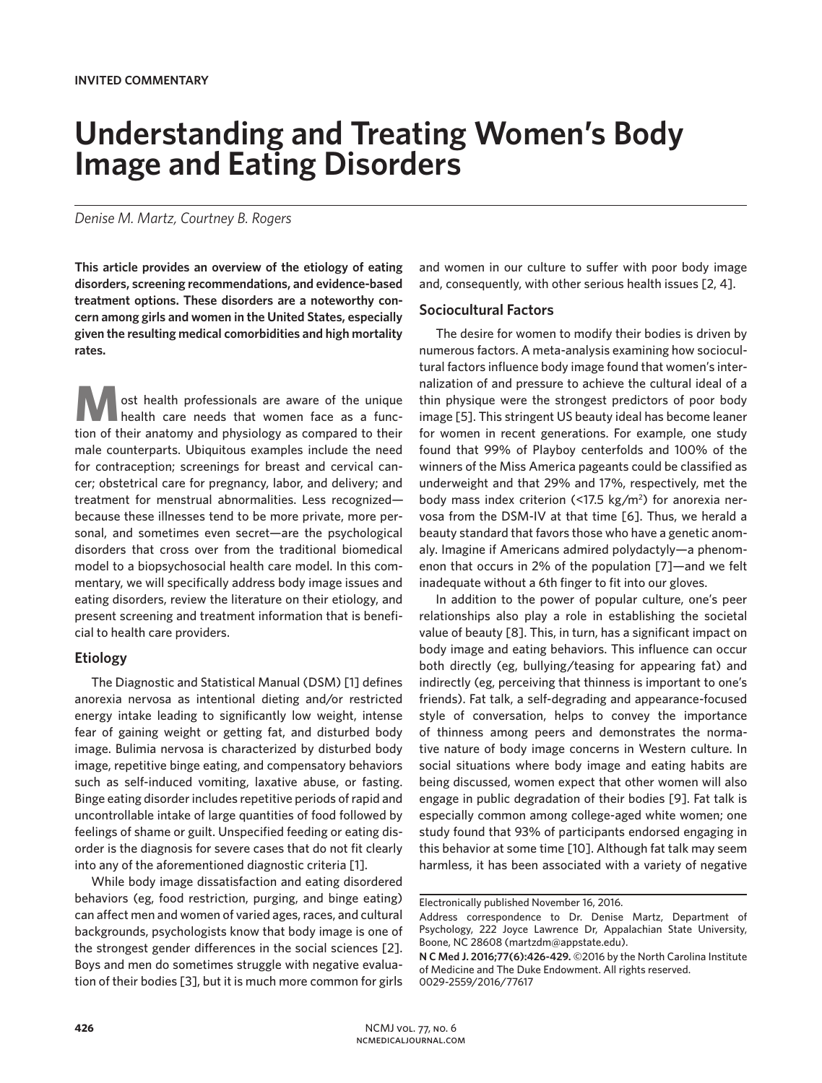# **Understanding and Treating Women's Body Image and Eating Disorders**

### *Denise M. Martz, Courtney B. Rogers*

**This article provides an overview of the etiology of eating disorders, screening recommendations, and evidence-based treatment options. These disorders are a noteworthy concern among girls and women in the United States, especially given the resulting medical comorbidities and high mortality rates.** 

**M** ost health professionals are aware of the unique health care needs that women face as a function of their anatomy and physiology as compared to their male counterparts. Ubiquitous examples include the need for contraception; screenings for breast and cervical cancer; obstetrical care for pregnancy, labor, and delivery; and treatment for menstrual abnormalities. Less recognized because these illnesses tend to be more private, more personal, and sometimes even secret—are the psychological disorders that cross over from the traditional biomedical model to a biopsychosocial health care model. In this commentary, we will specifically address body image issues and eating disorders, review the literature on their etiology, and present screening and treatment information that is beneficial to health care providers.

## **Etiology**

The Diagnostic and Statistical Manual (DSM) [1] defines anorexia nervosa as intentional dieting and/or restricted energy intake leading to significantly low weight, intense fear of gaining weight or getting fat, and disturbed body image. Bulimia nervosa is characterized by disturbed body image, repetitive binge eating, and compensatory behaviors such as self-induced vomiting, laxative abuse, or fasting. Binge eating disorder includes repetitive periods of rapid and uncontrollable intake of large quantities of food followed by feelings of shame or guilt. Unspecified feeding or eating disorder is the diagnosis for severe cases that do not fit clearly into any of the aforementioned diagnostic criteria [1].

While body image dissatisfaction and eating disordered behaviors (eg, food restriction, purging, and binge eating) can affect men and women of varied ages, races, and cultural backgrounds, psychologists know that body image is one of the strongest gender differences in the social sciences [2]. Boys and men do sometimes struggle with negative evaluation of their bodies [3], but it is much more common for girls

and women in our culture to suffer with poor body image and, consequently, with other serious health issues [2, 4].

#### **Sociocultural Factors**

The desire for women to modify their bodies is driven by numerous factors. A meta-analysis examining how sociocultural factors influence body image found that women's internalization of and pressure to achieve the cultural ideal of a thin physique were the strongest predictors of poor body image [5]. This stringent US beauty ideal has become leaner for women in recent generations. For example, one study found that 99% of Playboy centerfolds and 100% of the winners of the Miss America pageants could be classified as underweight and that 29% and 17%, respectively, met the body mass index criterion (<17.5 kg/m<sup>2</sup>) for anorexia nervosa from the DSM-IV at that time [6]. Thus, we herald a beauty standard that favors those who have a genetic anomaly. Imagine if Americans admired polydactyly—a phenomenon that occurs in 2% of the population [7]—and we felt inadequate without a 6th finger to fit into our gloves.

In addition to the power of popular culture, one's peer relationships also play a role in establishing the societal value of beauty [8]. This, in turn, has a significant impact on body image and eating behaviors. This influence can occur both directly (eg, bullying/teasing for appearing fat) and indirectly (eg, perceiving that thinness is important to one's friends). Fat talk, a self-degrading and appearance-focused style of conversation, helps to convey the importance of thinness among peers and demonstrates the normative nature of body image concerns in Western culture. In social situations where body image and eating habits are being discussed, women expect that other women will also engage in public degradation of their bodies [9]. Fat talk is especially common among college-aged white women; one study found that 93% of participants endorsed engaging in this behavior at some time [10]. Although fat talk may seem harmless, it has been associated with a variety of negative

Electronically published November 16, 2016.

Address correspondence to Dr. Denise Martz, Department of Psychology, 222 Joyce Lawrence Dr, Appalachian State University, Boone, NC 28608 (martzdm@appstate.edu).

**N C Med J. 2016;77(6):426-429.** ©2016 by the North Carolina Institute of Medicine and The Duke Endowment. All rights reserved. 0029-2559/2016/77617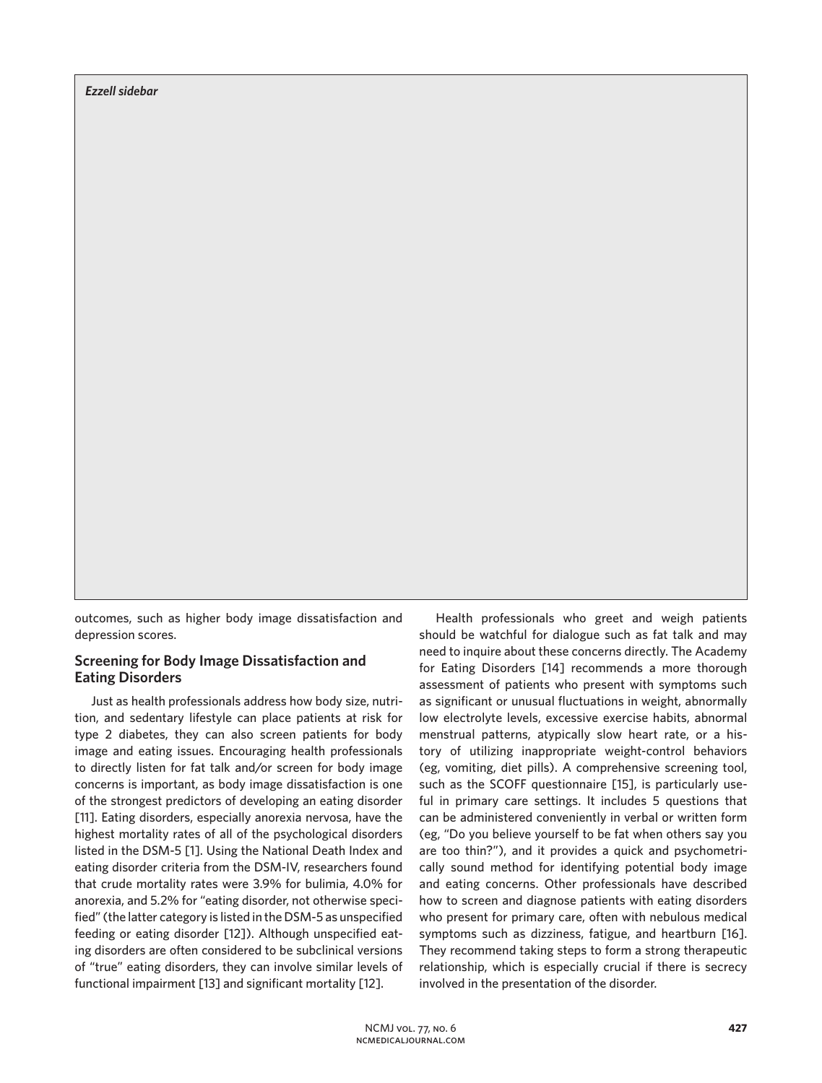*Ezzell sidebar*

outcomes, such as higher body image dissatisfaction and depression scores.

## **Screening for Body Image Dissatisfaction and Eating Disorders**

Just as health professionals address how body size, nutrition, and sedentary lifestyle can place patients at risk for type 2 diabetes, they can also screen patients for body image and eating issues. Encouraging health professionals to directly listen for fat talk and/or screen for body image concerns is important, as body image dissatisfaction is one of the strongest predictors of developing an eating disorder [11]. Eating disorders, especially anorexia nervosa, have the highest mortality rates of all of the psychological disorders listed in the DSM-5 [1]. Using the National Death Index and eating disorder criteria from the DSM-IV, researchers found that crude mortality rates were 3.9% for bulimia, 4.0% for anorexia, and 5.2% for "eating disorder, not otherwise specified" (the latter category is listed in the DSM-5 as unspecified feeding or eating disorder [12]). Although unspecified eating disorders are often considered to be subclinical versions of "true" eating disorders, they can involve similar levels of functional impairment [13] and significant mortality [12].

Health professionals who greet and weigh patients should be watchful for dialogue such as fat talk and may need to inquire about these concerns directly. The Academy for Eating Disorders [14] recommends a more thorough assessment of patients who present with symptoms such as significant or unusual fluctuations in weight, abnormally low electrolyte levels, excessive exercise habits, abnormal menstrual patterns, atypically slow heart rate, or a history of utilizing inappropriate weight-control behaviors (eg, vomiting, diet pills). A comprehensive screening tool, such as the SCOFF questionnaire [15], is particularly useful in primary care settings. It includes 5 questions that can be administered conveniently in verbal or written form (eg, "Do you believe yourself to be fat when others say you are too thin?"), and it provides a quick and psychometrically sound method for identifying potential body image and eating concerns. Other professionals have described how to screen and diagnose patients with eating disorders who present for primary care, often with nebulous medical symptoms such as dizziness, fatigue, and heartburn [16]. They recommend taking steps to form a strong therapeutic relationship, which is especially crucial if there is secrecy involved in the presentation of the disorder.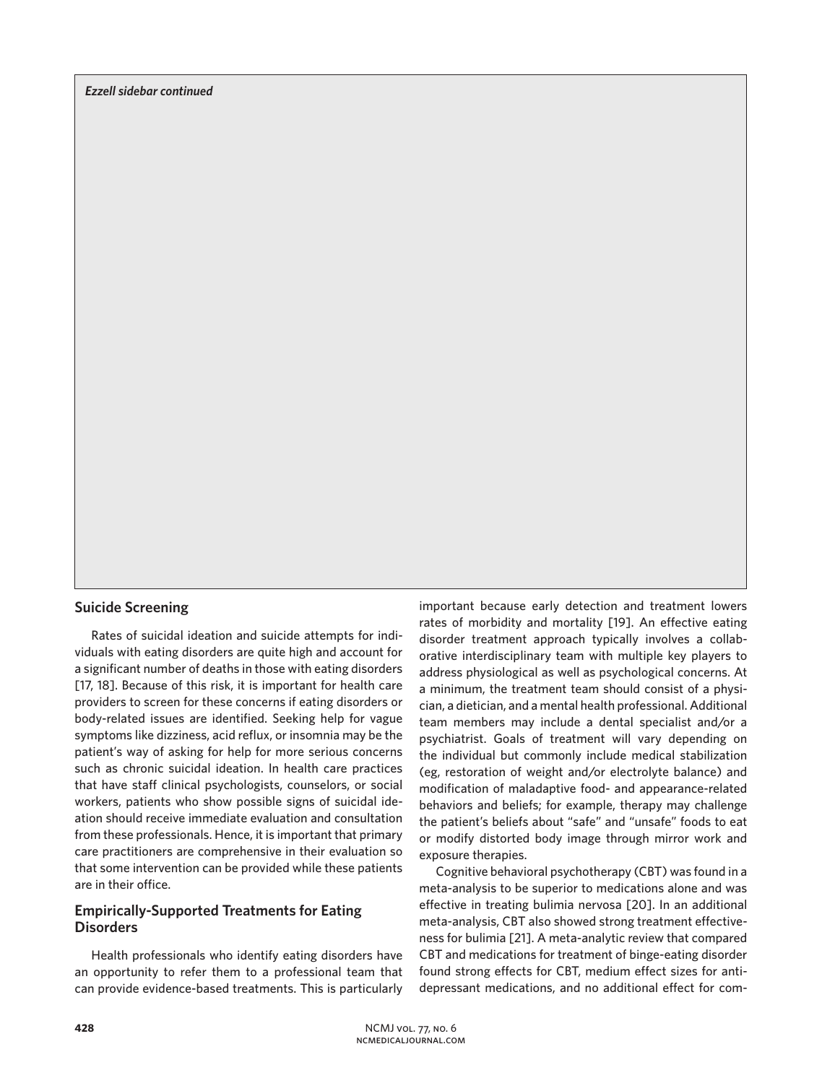# **Suicide Screening**

Rates of suicidal ideation and suicide attempts for individuals with eating disorders are quite high and account for a significant number of deaths in those with eating disorders [17, 18]. Because of this risk, it is important for health care providers to screen for these concerns if eating disorders or body-related issues are identified. Seeking help for vague symptoms like dizziness, acid reflux, or insomnia may be the patient's way of asking for help for more serious concerns such as chronic suicidal ideation. In health care practices that have staff clinical psychologists, counselors, or social workers, patients who show possible signs of suicidal ideation should receive immediate evaluation and consultation from these professionals. Hence, it is important that primary care practitioners are comprehensive in their evaluation so that some intervention can be provided while these patients are in their office.

# **Empirically-Supported Treatments for Eating Disorders**

Health professionals who identify eating disorders have an opportunity to refer them to a professional team that can provide evidence-based treatments. This is particularly

important because early detection and treatment lowers rates of morbidity and mortality [19]. An effective eating disorder treatment approach typically involves a collaborative interdisciplinary team with multiple key players to address physiological as well as psychological concerns. At a minimum, the treatment team should consist of a physician, a dietician, and a mental health professional. Additional team members may include a dental specialist and/or a psychiatrist. Goals of treatment will vary depending on the individual but commonly include medical stabilization (eg, restoration of weight and/or electrolyte balance) and modification of maladaptive food- and appearance-related behaviors and beliefs; for example, therapy may challenge the patient's beliefs about "safe" and "unsafe" foods to eat or modify distorted body image through mirror work and exposure therapies.

Cognitive behavioral psychotherapy (CBT) was found in a meta-analysis to be superior to medications alone and was effective in treating bulimia nervosa [20]. In an additional meta-analysis, CBT also showed strong treatment effectiveness for bulimia [21]. A meta-analytic review that compared CBT and medications for treatment of binge-eating disorder found strong effects for CBT, medium effect sizes for antidepressant medications, and no additional effect for com